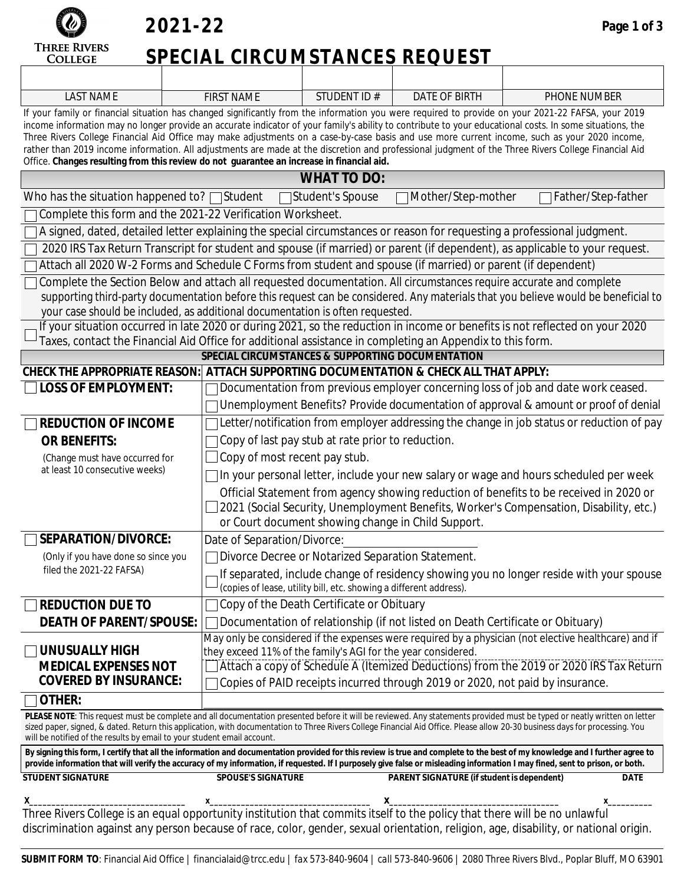

### **2021-22**

# **SPECIAL CIRCUMSTANCES REQUEST**

| <b>LAST NAME</b>                                                                                                                                                                                                                                                                                                                                                                                                                                                                                                                                                                                                                                                                                                    | <b>FIRST NAME</b>                                                                                                  | STUDENT ID#                                                        | <b>DATE OF BIRTH</b>                                                           | PHONE NUMBER                                                                                                                      |  |  |  |  |  |
|---------------------------------------------------------------------------------------------------------------------------------------------------------------------------------------------------------------------------------------------------------------------------------------------------------------------------------------------------------------------------------------------------------------------------------------------------------------------------------------------------------------------------------------------------------------------------------------------------------------------------------------------------------------------------------------------------------------------|--------------------------------------------------------------------------------------------------------------------|--------------------------------------------------------------------|--------------------------------------------------------------------------------|-----------------------------------------------------------------------------------------------------------------------------------|--|--|--|--|--|
| If your family or financial situation has changed significantly from the information you were required to provide on your 2021-22 FAFSA, your 2019<br>income information may no longer provide an accurate indicator of your family's ability to contribute to your educational costs. In some situations, the<br>Three Rivers College Financial Aid Office may make adjustments on a case-by-case basis and use more current income, such as your 2020 income,<br>rather than 2019 income information. All adjustments are made at the discretion and professional judgment of the Three Rivers College Financial Aid<br>Office. Changes resulting from this review do not guarantee an increase in financial aid. |                                                                                                                    |                                                                    |                                                                                |                                                                                                                                   |  |  |  |  |  |
| <b>WHAT TO DO:</b>                                                                                                                                                                                                                                                                                                                                                                                                                                                                                                                                                                                                                                                                                                  |                                                                                                                    |                                                                    |                                                                                |                                                                                                                                   |  |  |  |  |  |
| Who has the situation happened to? $\Box$ Student<br>Mother/Step-mother<br>Father/Step-father<br>□Student's Spouse                                                                                                                                                                                                                                                                                                                                                                                                                                                                                                                                                                                                  |                                                                                                                    |                                                                    |                                                                                |                                                                                                                                   |  |  |  |  |  |
| Complete this form and the 2021-22 Verification Worksheet.                                                                                                                                                                                                                                                                                                                                                                                                                                                                                                                                                                                                                                                          |                                                                                                                    |                                                                    |                                                                                |                                                                                                                                   |  |  |  |  |  |
| A signed, dated, detailed letter explaining the special circumstances or reason for requesting a professional judgment.                                                                                                                                                                                                                                                                                                                                                                                                                                                                                                                                                                                             |                                                                                                                    |                                                                    |                                                                                |                                                                                                                                   |  |  |  |  |  |
| 2020 IRS Tax Return Transcript for student and spouse (if married) or parent (if dependent), as applicable to your request.                                                                                                                                                                                                                                                                                                                                                                                                                                                                                                                                                                                         |                                                                                                                    |                                                                    |                                                                                |                                                                                                                                   |  |  |  |  |  |
|                                                                                                                                                                                                                                                                                                                                                                                                                                                                                                                                                                                                                                                                                                                     | Attach all 2020 W-2 Forms and Schedule C Forms from student and spouse (if married) or parent (if dependent)       |                                                                    |                                                                                |                                                                                                                                   |  |  |  |  |  |
|                                                                                                                                                                                                                                                                                                                                                                                                                                                                                                                                                                                                                                                                                                                     | Complete the Section Below and attach all requested documentation. All circumstances require accurate and complete |                                                                    |                                                                                |                                                                                                                                   |  |  |  |  |  |
|                                                                                                                                                                                                                                                                                                                                                                                                                                                                                                                                                                                                                                                                                                                     |                                                                                                                    |                                                                    |                                                                                | supporting third-party documentation before this request can be considered. Any materials that you believe would be beneficial to |  |  |  |  |  |
|                                                                                                                                                                                                                                                                                                                                                                                                                                                                                                                                                                                                                                                                                                                     | your case should be included, as additional documentation is often requested.                                      |                                                                    |                                                                                | If your situation occurred in late 2020 or during 2021, so the reduction in income or benefits is not reflected on your 2020      |  |  |  |  |  |
|                                                                                                                                                                                                                                                                                                                                                                                                                                                                                                                                                                                                                                                                                                                     | Taxes, contact the Financial Aid Office for additional assistance in completing an Appendix to this form.          |                                                                    |                                                                                |                                                                                                                                   |  |  |  |  |  |
|                                                                                                                                                                                                                                                                                                                                                                                                                                                                                                                                                                                                                                                                                                                     | SPECIAL CIRCUMSTANCES & SUPPORTING DOCUMENTATION                                                                   |                                                                    |                                                                                |                                                                                                                                   |  |  |  |  |  |
| CHECK THE APPROPRIATE REASON: ATTACH SUPPORTING DOCUMENTATION & CHECK ALL THAT APPLY:                                                                                                                                                                                                                                                                                                                                                                                                                                                                                                                                                                                                                               |                                                                                                                    |                                                                    |                                                                                |                                                                                                                                   |  |  |  |  |  |
| <b>LOSS OF EMPLOYMENT:</b>                                                                                                                                                                                                                                                                                                                                                                                                                                                                                                                                                                                                                                                                                          |                                                                                                                    |                                                                    |                                                                                | Documentation from previous employer concerning loss of job and date work ceased.                                                 |  |  |  |  |  |
|                                                                                                                                                                                                                                                                                                                                                                                                                                                                                                                                                                                                                                                                                                                     |                                                                                                                    |                                                                    |                                                                                | Unemployment Benefits? Provide documentation of approval & amount or proof of denial                                              |  |  |  |  |  |
| <b>REDUCTION OF INCOME</b>                                                                                                                                                                                                                                                                                                                                                                                                                                                                                                                                                                                                                                                                                          | Letter/notification from employer addressing the change in job status or reduction of pay                          |                                                                    |                                                                                |                                                                                                                                   |  |  |  |  |  |
| Copy of last pay stub at rate prior to reduction.<br><b>OR BENEFITS:</b>                                                                                                                                                                                                                                                                                                                                                                                                                                                                                                                                                                                                                                            |                                                                                                                    |                                                                    |                                                                                |                                                                                                                                   |  |  |  |  |  |
| (Change must have occurred for                                                                                                                                                                                                                                                                                                                                                                                                                                                                                                                                                                                                                                                                                      |                                                                                                                    | Copy of most recent pay stub.                                      |                                                                                |                                                                                                                                   |  |  |  |  |  |
| at least 10 consecutive weeks)<br>In your personal letter, include your new salary or wage and hours scheduled per week                                                                                                                                                                                                                                                                                                                                                                                                                                                                                                                                                                                             |                                                                                                                    |                                                                    |                                                                                |                                                                                                                                   |  |  |  |  |  |
| Official Statement from agency showing reduction of benefits to be received in 2020 or<br>2021 (Social Security, Unemployment Benefits, Worker's Compensation, Disability, etc.)                                                                                                                                                                                                                                                                                                                                                                                                                                                                                                                                    |                                                                                                                    |                                                                    |                                                                                |                                                                                                                                   |  |  |  |  |  |
| or Court document showing change in Child Support.                                                                                                                                                                                                                                                                                                                                                                                                                                                                                                                                                                                                                                                                  |                                                                                                                    |                                                                    |                                                                                |                                                                                                                                   |  |  |  |  |  |
| SEPARATION/DIVORCE:                                                                                                                                                                                                                                                                                                                                                                                                                                                                                                                                                                                                                                                                                                 | Date of Separation/Divorce:                                                                                        |                                                                    |                                                                                |                                                                                                                                   |  |  |  |  |  |
| Divorce Decree or Notarized Separation Statement.<br>(Only if you have done so since you                                                                                                                                                                                                                                                                                                                                                                                                                                                                                                                                                                                                                            |                                                                                                                    |                                                                    |                                                                                |                                                                                                                                   |  |  |  |  |  |
| filed the 2021-22 FAFSA)                                                                                                                                                                                                                                                                                                                                                                                                                                                                                                                                                                                                                                                                                            |                                                                                                                    | (copies of lease, utility bill, etc. showing a different address). |                                                                                | If separated, include change of residency showing you no longer reside with your spouse                                           |  |  |  |  |  |
| <b>REDUCTION DUE TO</b>                                                                                                                                                                                                                                                                                                                                                                                                                                                                                                                                                                                                                                                                                             |                                                                                                                    | Copy of the Death Certificate or Obituary                          |                                                                                |                                                                                                                                   |  |  |  |  |  |
| <b>DEATH OF PARENT/SPOUSE:</b>                                                                                                                                                                                                                                                                                                                                                                                                                                                                                                                                                                                                                                                                                      |                                                                                                                    |                                                                    | Documentation of relationship (if not listed on Death Certificate or Obituary) |                                                                                                                                   |  |  |  |  |  |
|                                                                                                                                                                                                                                                                                                                                                                                                                                                                                                                                                                                                                                                                                                                     |                                                                                                                    |                                                                    |                                                                                | May only be considered if the expenses were required by a physician (not elective healthcare) and if                              |  |  |  |  |  |
| <b>UNUSUALLY HIGH</b>                                                                                                                                                                                                                                                                                                                                                                                                                                                                                                                                                                                                                                                                                               | they exceed 11% of the family's AGI for the year considered.                                                       |                                                                    |                                                                                |                                                                                                                                   |  |  |  |  |  |
| <b>MEDICAL EXPENSES NOT</b>                                                                                                                                                                                                                                                                                                                                                                                                                                                                                                                                                                                                                                                                                         |                                                                                                                    |                                                                    |                                                                                | Attach a copy of Schedule A (Itemized Deductions) from the 2019 or 2020 IRS Tax Return                                            |  |  |  |  |  |
| <b>COVERED BY INSURANCE:</b>                                                                                                                                                                                                                                                                                                                                                                                                                                                                                                                                                                                                                                                                                        |                                                                                                                    |                                                                    | Copies of PAID receipts incurred through 2019 or 2020, not paid by insurance.  |                                                                                                                                   |  |  |  |  |  |
| OTHER:                                                                                                                                                                                                                                                                                                                                                                                                                                                                                                                                                                                                                                                                                                              |                                                                                                                    |                                                                    |                                                                                |                                                                                                                                   |  |  |  |  |  |
| PLEASE NOTE: This request must be complete and all documentation presented before it will be reviewed. Any statements provided must be typed or neatly written on letter<br>sized paper, signed, & dated. Return this application, with documentation to Three Rivers College Financial Aid Office. Please allow 20-30 business days for processing. You<br>will be notified of the results by email to your student email account.                                                                                                                                                                                                                                                                                 |                                                                                                                    |                                                                    |                                                                                |                                                                                                                                   |  |  |  |  |  |
| By signing this form, I certify that all the information and documentation provided for this review is true and complete to the best of my knowledge and I further agree to<br>provide information that will verify the accuracy of my information, if requested. If I purposely give false or misleading information I may fined, sent to prison, or both.                                                                                                                                                                                                                                                                                                                                                         |                                                                                                                    |                                                                    |                                                                                |                                                                                                                                   |  |  |  |  |  |
| <b>STUDENT SIGNATURE</b>                                                                                                                                                                                                                                                                                                                                                                                                                                                                                                                                                                                                                                                                                            | <b>SPOUSE'S SIGNATURE</b>                                                                                          |                                                                    | <b>PARENT SIGNATURE (if student is dependent)</b>                              | <b>DATE</b>                                                                                                                       |  |  |  |  |  |
|                                                                                                                                                                                                                                                                                                                                                                                                                                                                                                                                                                                                                                                                                                                     |                                                                                                                    |                                                                    |                                                                                |                                                                                                                                   |  |  |  |  |  |
| Three Rivers College is an equal opportunity institution that commits itself to the policy that there will be no unlawful<br>discrimination against any person because of race, color, gender, sexual orientation, religion, age, disability, or national origin.                                                                                                                                                                                                                                                                                                                                                                                                                                                   |                                                                                                                    |                                                                    |                                                                                |                                                                                                                                   |  |  |  |  |  |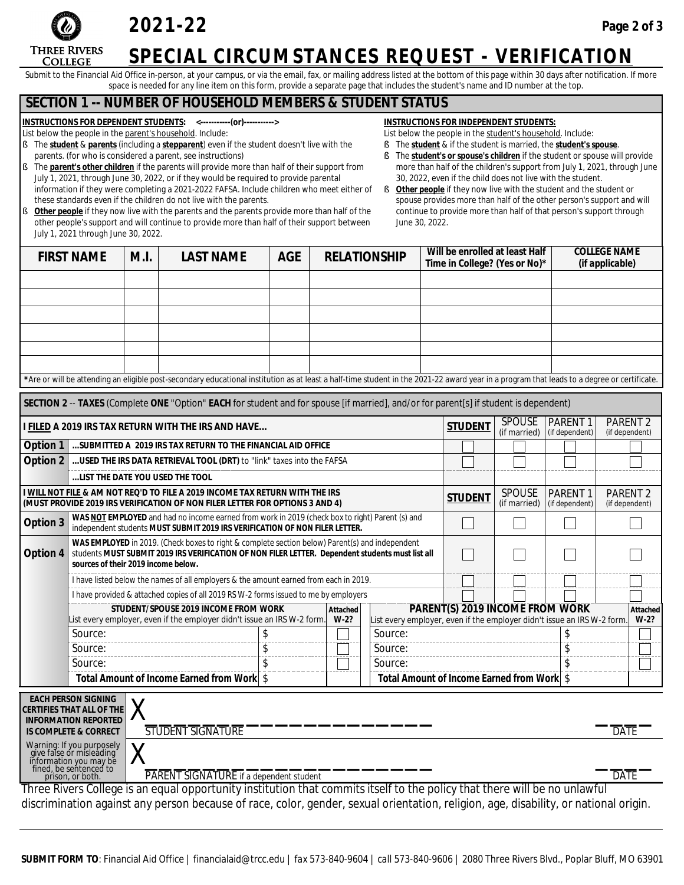

### **2021-22**

### **SPECIAL CIRCUMSTANCES REQUEST - VERIFICATION**

Submit to the Financial Aid Office in-person, at your campus, or via the email, fax, or mailing address listed at the bottom of this page within 30 days after notification. If more space is needed for any line item on this form, provide a separate page that includes the student's name and ID number at the top.

#### **SECTION 1 -- NUMBER OF HOUSEHOLD MEMBERS & STUDENT STATUS**

**INSTRUCTIONS FOR** *DEPENDENT* **STUDENTS: <-----------(or)----------->**

- List below the people in the parent's household. Include:
- § The *student* & *parents* (including a *stepparent*) even if the student doesn't live with the parents. (for who is considered a parent, see instructions)
- § The *parent's other children* if the parents will provide more than half of their support from July 1, 2021, through June 30, 2022, or if they would be required to provide parental information if they were completing a 2021-2022 FAFSA. Include children who meet either of these standards even if the children do not live with the parents.
- **Other people** if they now live with the parents and the parents provide more than half of the other people's support and will continue to provide more than half of their support between July 1, 2021 through June 30, 2022.
- **INSTRUCTIONS FOR** *INDEPENDENT* **STUDENTS:**
- List below the people in the student's household. Include:
- § The *student* & if the student is married, the *student's spouse*.
- § The *student's or spouse's children* if the student or spouse will provide more than half of the children's support from July 1, 2021, through June 30, 2022, even if the child does not live with the student.
- **§** Other people if they now live with the student and the student or spouse provides more than half of the other person's support and will continue to provide more than half of that person's support through June 30, 2022.

| <b>FIRST NAME</b>                                                                                                                     |                                                                                                                                                                                                                                                     | M.I. | <b>LAST NAME</b>                                                                                                                                                                           | <b>AGE</b>                                                                                                                                                                    |  | <b>RELATIONSHIP</b> |  | Will be enrolled at least Half<br>Time in College? (Yes or No)* |                                       |                                            |                               | <b>COLLEGE NAME</b><br>(if applicable) |                                       |
|---------------------------------------------------------------------------------------------------------------------------------------|-----------------------------------------------------------------------------------------------------------------------------------------------------------------------------------------------------------------------------------------------------|------|--------------------------------------------------------------------------------------------------------------------------------------------------------------------------------------------|-------------------------------------------------------------------------------------------------------------------------------------------------------------------------------|--|---------------------|--|-----------------------------------------------------------------|---------------------------------------|--------------------------------------------|-------------------------------|----------------------------------------|---------------------------------------|
|                                                                                                                                       |                                                                                                                                                                                                                                                     |      |                                                                                                                                                                                            |                                                                                                                                                                               |  |                     |  |                                                                 |                                       |                                            |                               |                                        |                                       |
|                                                                                                                                       |                                                                                                                                                                                                                                                     |      |                                                                                                                                                                                            |                                                                                                                                                                               |  |                     |  |                                                                 |                                       |                                            |                               |                                        |                                       |
|                                                                                                                                       |                                                                                                                                                                                                                                                     |      |                                                                                                                                                                                            |                                                                                                                                                                               |  |                     |  |                                                                 |                                       |                                            |                               |                                        |                                       |
|                                                                                                                                       |                                                                                                                                                                                                                                                     |      |                                                                                                                                                                                            |                                                                                                                                                                               |  |                     |  |                                                                 |                                       |                                            |                               |                                        |                                       |
|                                                                                                                                       |                                                                                                                                                                                                                                                     |      |                                                                                                                                                                                            |                                                                                                                                                                               |  |                     |  |                                                                 |                                       |                                            |                               |                                        |                                       |
|                                                                                                                                       |                                                                                                                                                                                                                                                     |      |                                                                                                                                                                                            |                                                                                                                                                                               |  |                     |  |                                                                 |                                       |                                            |                               |                                        |                                       |
|                                                                                                                                       |                                                                                                                                                                                                                                                     |      | *Are or will be attending an eligible post-secondary educational institution as at least a half-time student in the 2021-22 award year in a program that leads to a degree or certificate. |                                                                                                                                                                               |  |                     |  |                                                                 |                                       |                                            |                               |                                        |                                       |
| SECTION 2 -- TAXES (Complete ONE "Option" EACH for student and for spouse [if married], and/or for parent[s] if student is dependent) |                                                                                                                                                                                                                                                     |      |                                                                                                                                                                                            |                                                                                                                                                                               |  |                     |  |                                                                 |                                       |                                            |                               |                                        |                                       |
|                                                                                                                                       | <b>SPOUSE</b><br><b>STUDENT</b><br>I FILED A 2019 IRS TAX RETURN WITH THE IRS AND HAVE<br>(if married)                                                                                                                                              |      |                                                                                                                                                                                            |                                                                                                                                                                               |  |                     |  | PARENT <sub>1</sub><br>(if dependent)                           | PARENT <sub>2</sub><br>(if dependent) |                                            |                               |                                        |                                       |
| Option 1                                                                                                                              | SUBMITTED A 2019 IRS TAX RETURN TO THE FINANCIAL AID OFFICE                                                                                                                                                                                         |      |                                                                                                                                                                                            |                                                                                                                                                                               |  |                     |  |                                                                 |                                       |                                            |                               |                                        |                                       |
| Option 2                                                                                                                              | USED THE IRS DATA RETRIEVAL TOOL (DRT) to "link" taxes into the FAFSA                                                                                                                                                                               |      |                                                                                                                                                                                            |                                                                                                                                                                               |  |                     |  |                                                                 |                                       |                                            |                               |                                        |                                       |
|                                                                                                                                       | LIST THE DATE YOU USED THE TOOL                                                                                                                                                                                                                     |      |                                                                                                                                                                                            |                                                                                                                                                                               |  |                     |  |                                                                 |                                       |                                            |                               |                                        |                                       |
|                                                                                                                                       | I WILL NOT FILE & AM NOT REQ'D TO FILE A 2019 INCOME TAX RETURN WITH THE IRS<br>(MUST PROVIDE 2019 IRS VERIFICATION OF NON FILER LETTER FOR OPTIONS 3 AND 4)                                                                                        |      |                                                                                                                                                                                            |                                                                                                                                                                               |  |                     |  |                                                                 |                                       | <b>STUDENT</b>                             | <b>SPOUSE</b><br>(if married) | <b>PARENT1</b><br>(if dependent)       | PARENT <sub>2</sub><br>(if dependent) |
| Option 3                                                                                                                              |                                                                                                                                                                                                                                                     |      |                                                                                                                                                                                            | WAS NOTEMPLOYED and had no income earned from work in 2019 (check box to right) Parent (s) and<br>independent students MUST SUBMIT 2019 IRS VERIFICATION OF NON FILER LETTER. |  |                     |  |                                                                 |                                       |                                            |                               |                                        |                                       |
| Option 4                                                                                                                              | WAS EMPLOYED in 2019. (Check boxes to right & complete section below) Parent(s) and independent<br>students MUST SUBMIT 2019 IRS VERIFICATION OF NON FILER LETTER. Dependent students must list all<br>sources of their 2019 income below.          |      |                                                                                                                                                                                            |                                                                                                                                                                               |  |                     |  |                                                                 |                                       |                                            |                               |                                        |                                       |
|                                                                                                                                       |                                                                                                                                                                                                                                                     |      | I have listed below the names of all employers & the amount earned from each in 2019.                                                                                                      |                                                                                                                                                                               |  |                     |  |                                                                 |                                       |                                            |                               |                                        |                                       |
|                                                                                                                                       |                                                                                                                                                                                                                                                     |      | I have provided & attached copies of all 2019 RS W-2 forms issued to me by employers                                                                                                       |                                                                                                                                                                               |  |                     |  |                                                                 |                                       |                                            |                               |                                        |                                       |
|                                                                                                                                       | STUDENT/SPOUSE 2019 INCOME FROM WORK<br>PARENT(S) 2019 INCOME FROM WORK<br>Attached<br>List every employer, even if the employer didn't issue an IRS W-2 form.<br>$W-2?$<br>List every employer, even if the employer didn't issue an IRS W-2 form. |      |                                                                                                                                                                                            |                                                                                                                                                                               |  |                     |  |                                                                 | Attached<br>$W-2?$                    |                                            |                               |                                        |                                       |
|                                                                                                                                       | Source:                                                                                                                                                                                                                                             |      |                                                                                                                                                                                            |                                                                                                                                                                               |  |                     |  | Source:                                                         |                                       |                                            |                               | \$                                     |                                       |
|                                                                                                                                       | Source:                                                                                                                                                                                                                                             |      |                                                                                                                                                                                            | \$                                                                                                                                                                            |  |                     |  | Source:                                                         |                                       |                                            |                               | \$                                     |                                       |
|                                                                                                                                       | Source:                                                                                                                                                                                                                                             |      |                                                                                                                                                                                            |                                                                                                                                                                               |  |                     |  | Source:                                                         |                                       |                                            |                               |                                        |                                       |
|                                                                                                                                       |                                                                                                                                                                                                                                                     |      | Total Amount of Income Earned from Work \$                                                                                                                                                 |                                                                                                                                                                               |  |                     |  |                                                                 |                                       | Total Amount of Income Earned from Work \$ |                               |                                        |                                       |
| <b>EACH PERSON SIGNING</b><br>CERTIFIES THAT ALL OF THE<br><b>INFORMATION REPORTED</b>                                                |                                                                                                                                                                                                                                                     |      |                                                                                                                                                                                            |                                                                                                                                                                               |  |                     |  |                                                                 |                                       |                                            |                               |                                        |                                       |

 **INFORMATION REPORTED IS COMPLETE & CORRECT**

\_\_\_\_ DATE

 $\overline{DATE}$ 

Warning: If you purposely give false or misleading information you may be fined, be sentenced to prison, or both.

X\_\_\_\_\_\_\_\_\_\_\_\_\_\_\_\_\_\_\_\_ PARENT SIGNATURE *if a dependent student*

STUDENT SIGNATURE

Three Rivers College is an equal opportunity institution that commits itself to the policy that there will be no unlawful discrimination against any person because of race, color, gender, sexual orientation, religion, age, disability, or national origin.